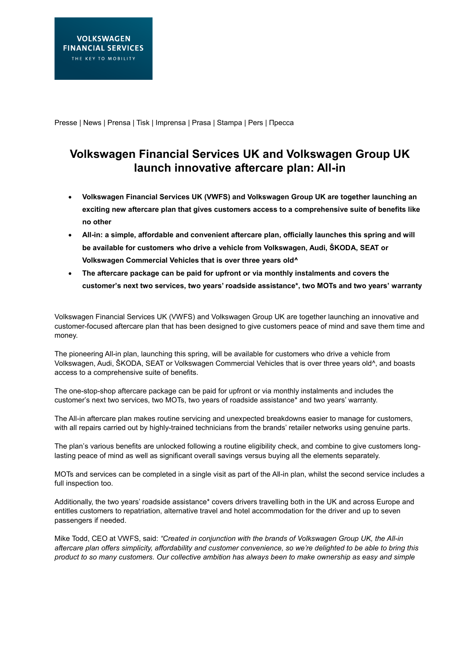Presse | News | Prensa | Tisk | Imprensa | Prasa | Stampa | Pers | Пресса

# **Volkswagen Financial Services UK and Volkswagen Group UK launch innovative aftercare plan: All-in**

- **Volkswagen Financial Services UK (VWFS) and Volkswagen Group UK are together launching an exciting new aftercare plan that gives customers access to a comprehensive suite of benefits like no other**
- **All-in: a simple, affordable and convenient aftercare plan, officially launches this spring and will be available for customers who drive a vehicle from Volkswagen, Audi, ŠKODA, SEAT or Volkswagen Commercial Vehicles that is over three years old^**
- **The aftercare package can be paid for upfront or via monthly instalments and covers the customer's next two services, two years' roadside assistance\*, two MOTs and two years' warranty**

Volkswagen Financial Services UK (VWFS) and Volkswagen Group UK are together launching an innovative and customer-focused aftercare plan that has been designed to give customers peace of mind and save them time and money.

The pioneering All-in plan, launching this spring, will be available for customers who drive a vehicle from Volkswagen, Audi, ŠKODA, SEAT or Volkswagen Commercial Vehicles that is over three years old^, and boasts access to a comprehensive suite of benefits.

The one-stop-shop aftercare package can be paid for upfront or via monthly instalments and includes the customer's next two services, two MOTs, two years of roadside assistance\* and two years' warranty.

The All-in aftercare plan makes routine servicing and unexpected breakdowns easier to manage for customers, with all repairs carried out by highly-trained technicians from the brands' retailer networks using genuine parts.

The plan's various benefits are unlocked following a routine eligibility check, and combine to give customers longlasting peace of mind as well as significant overall savings versus buying all the elements separately.

MOTs and services can be completed in a single visit as part of the All-in plan, whilst the second service includes a full inspection too.

Additionally, the two years' roadside assistance\* covers drivers travelling both in the UK and across Europe and entitles customers to repatriation, alternative travel and hotel accommodation for the driver and up to seven passengers if needed.

Mike Todd, CEO at VWFS, said: *"Created in conjunction with the brands of Volkswagen Group UK, the All-in aftercare plan offers simplicity, affordability and customer convenience, so we're delighted to be able to bring this product to so many customers. Our collective ambition has always been to make ownership as easy and simple*